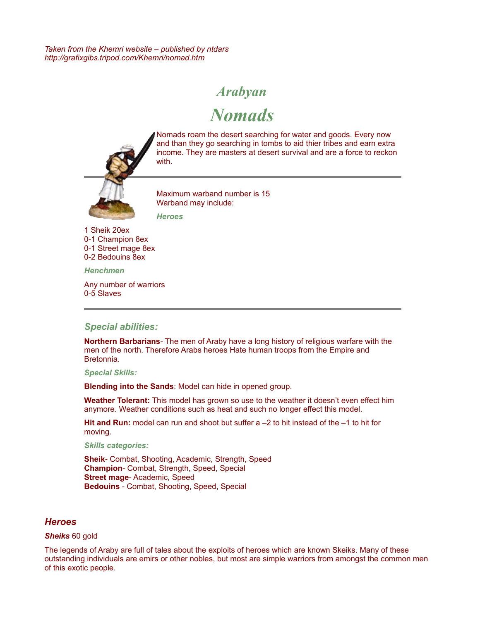*Taken from the Khemri website – published by ntdars http://grafixgibs.tripod.com/Khemri/nomad.htm*

# *Arabyan*

*Nomads*



[N](http://grafixgibs.tripod.com/Khemri/tombguard.htm)omads roam the desert searching for water and goods. Every now and than they go searching in tombs to aid thier tribes and earn extra income. They are masters at desert survival and are a force to reckon with.

Maximum warband number is 15 Warband may include: *Heroes*

1 Sheik 20ex 0-1 Champion 8ex 0-1 Street mage 8ex 0-2 Bedouins 8ex

*Henchmen*

Any number of warriors 0-5 Slaves

## *Special abilities:*

**Northern Barbarians**- The men of Araby have a long history of religious warfare with the men of the north. Therefore Arabs heroes Hate human troops from the Empire and Bretonnia.

#### *Special Skills:*

**Blending into the Sands**: Model can hide in opened group.

**Weather Tolerant:** This model has grown so use to the weather it doesn't even effect him anymore. Weather conditions such as heat and such no longer effect this model.

**Hit and Run:** model can run and shoot but suffer a –2 to hit instead of the –1 to hit for moving.

*Skills categories:*

**Sheik**- Combat, Shooting, Academic, Strength, Speed **Champion**- Combat, Strength, Speed, Special **Street mage**- Academic, Speed **Bedouins** - Combat, Shooting, Speed, Special

#### *Heroes*

#### *Sheiks* 60 gold

The legends of Araby are full of tales about the exploits of heroes which are known Skeiks. Many of these outstanding individuals are emirs or other nobles, but most are simple warriors from amongst the common men of this exotic people.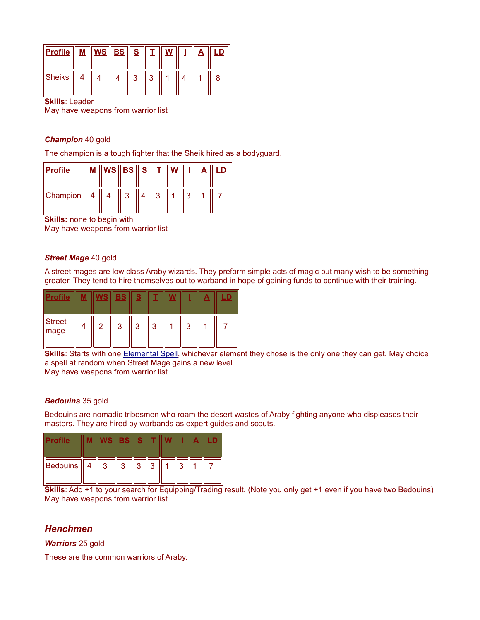| Profile | <u>М</u> | $\left\Vert \mathbf{WS}\right\Vert \mathbf{BS}\left\Vert \right. \mathbf{S}%$ |   |  |  |   |
|---------|----------|-------------------------------------------------------------------------------|---|--|--|---|
| Sheiks  |          |                                                                               | ົ |  |  | я |

**Skills**: Leader

May have weapons from warrior list

#### *Champion* 40 gold

The champion is a tough fighter that the Sheik hired as a bodyguard.

| <b>Profile</b> |  | $MS \,  $ BS $  $ | S |  |  |  |
|----------------|--|-------------------|---|--|--|--|
| Champion       |  |                   |   |  |  |  |

**Skills:** none to begin with May have weapons from warrior list

#### *Street Mage* 40 gold

A street mages are low class Araby wizards. They preform simple acts of magic but many wish to be something greater. They tend to hire themselves out to warband in hope of gaining funds to continue with their training.

|                | IS | BS | o<br>۰ |                           |   | m |  |
|----------------|----|----|--------|---------------------------|---|---|--|
| Street<br>mage | 2  | ঽ  | 3      | 2<br>$\ddot{\phantom{1}}$ | ঽ |   |  |

**Skills**: Starts with one **Elemental Spell**, whichever element they chose is the only one they can get. May choice a spell at random when Street Mage gains a new level.

May have weapons from warrior list

#### *Bedouins* 35 gold

Bedouins are nomadic tribesmen who roam the desert wastes of Araby fighting anyone who displeases their masters. They are hired by warbands as expert guides and scouts.

|          |           |   | $\blacksquare$<br>- | e. |   |  |  |
|----------|-----------|---|---------------------|----|---|--|--|
| Bedouins | $\lambda$ | 3 | 3                   | ົ  | ◠ |  |  |

**Skills**: Add +1 to your search for Equipping/Trading result. (Note you only get +1 even if you have two Bedouins) May have weapons from warrior list

## *Henchmen*

*Warriors* 25 gold

These are the common warriors of Araby.